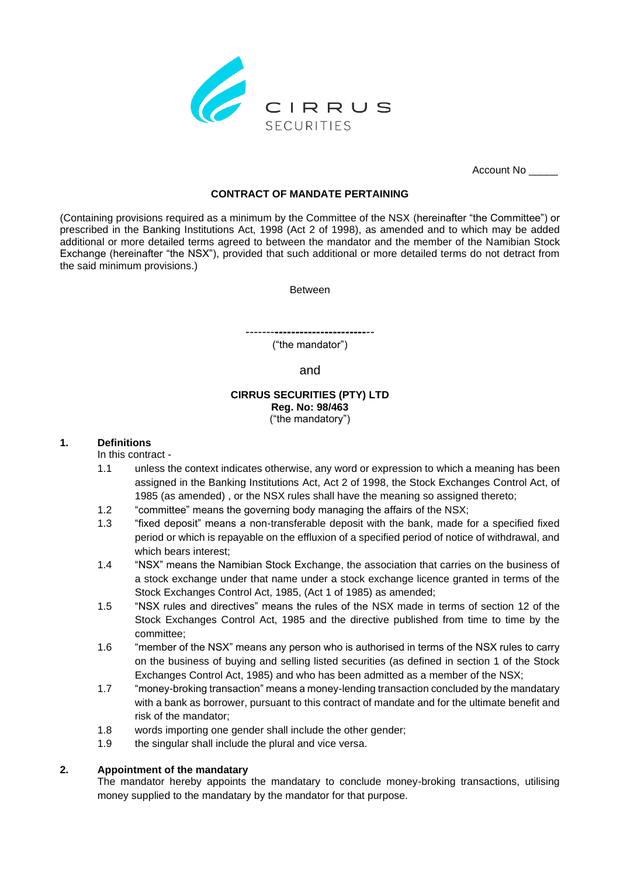

Account No \_\_\_\_\_

# **CONTRACT OF MANDATE PERTAINING**

(Containing provisions required as a minimum by the Committee of the NSX (hereinafter "the Committee") or prescribed in the Banking Institutions Act, 1998 (Act 2 of 1998), as amended and to which may be added additional or more detailed terms agreed to between the mandator and the member of the Namibian Stock Exchange (hereinafter "the NSX"), provided that such additional or more detailed terms do not detract from the said minimum provisions.)

Between

-------**----------------------**--

("the mandator")

and

### **CIRRUS SECURITIES (PTY) LTD Reg. No: 98/463** ("the mandatory")

# **1. Definitions**

In this contract -

- 1.1 unless the context indicates otherwise, any word or expression to which a meaning has been assigned in the Banking Institutions Act, Act 2 of 1998, the Stock Exchanges Control Act, of 1985 (as amended) , or the NSX rules shall have the meaning so assigned thereto;
- 1.2 "committee" means the governing body managing the affairs of the NSX;
- 1.3 "fixed deposit" means a non-transferable deposit with the bank, made for a specified fixed period or which is repayable on the effluxion of a specified period of notice of withdrawal, and which bears interest;
- 1.4 "NSX" means the Namibian Stock Exchange, the association that carries on the business of a stock exchange under that name under a stock exchange licence granted in terms of the Stock Exchanges Control Act, 1985, (Act 1 of 1985) as amended;
- 1.5 "NSX rules and directives" means the rules of the NSX made in terms of section 12 of the Stock Exchanges Control Act, 1985 and the directive published from time to time by the committee;
- 1.6 "member of the NSX" means any person who is authorised in terms of the NSX rules to carry on the business of buying and selling listed securities (as defined in section 1 of the Stock Exchanges Control Act, 1985) and who has been admitted as a member of the NSX;
- 1.7 "money-broking transaction" means a money-lending transaction concluded by the mandatary with a bank as borrower, pursuant to this contract of mandate and for the ultimate benefit and risk of the mandator;
- 1.8 words importing one gender shall include the other gender;
- 1.9 the singular shall include the plural and vice versa.

# **2. Appointment of the mandatary**

The mandator hereby appoints the mandatary to conclude money-broking transactions, utilising money supplied to the mandatary by the mandator for that purpose.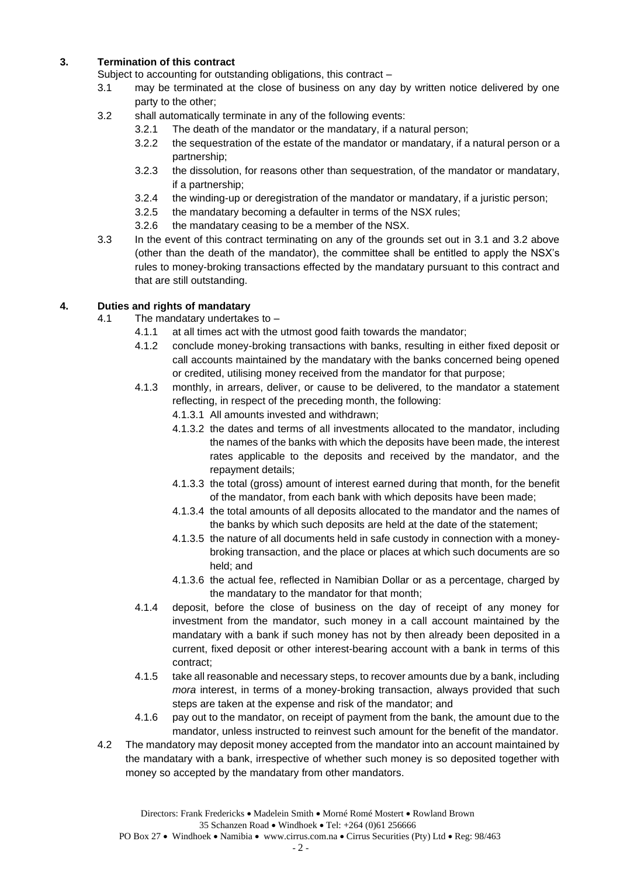# **3. Termination of this contract**

Subject to accounting for outstanding obligations, this contract –

- 3.1 may be terminated at the close of business on any day by written notice delivered by one party to the other;
- 3.2 shall automatically terminate in any of the following events:
	- 3.2.1 The death of the mandator or the mandatary, if a natural person;
	- 3.2.2 the sequestration of the estate of the mandator or mandatary, if a natural person or a partnership;
	- 3.2.3 the dissolution, for reasons other than sequestration, of the mandator or mandatary, if a partnership;
	- 3.2.4 the winding-up or deregistration of the mandator or mandatary, if a juristic person;
	- 3.2.5 the mandatary becoming a defaulter in terms of the NSX rules;
	- 3.2.6 the mandatary ceasing to be a member of the NSX.
- 3.3 In the event of this contract terminating on any of the grounds set out in 3.1 and 3.2 above (other than the death of the mandator), the committee shall be entitled to apply the NSX's rules to money-broking transactions effected by the mandatary pursuant to this contract and that are still outstanding.

# **4. Duties and rights of mandatary**

- 4.1 The mandatary undertakes to
	- 4.1.1 at all times act with the utmost good faith towards the mandator;
	- 4.1.2 conclude money-broking transactions with banks, resulting in either fixed deposit or call accounts maintained by the mandatary with the banks concerned being opened or credited, utilising money received from the mandator for that purpose;
	- 4.1.3 monthly, in arrears, deliver, or cause to be delivered, to the mandator a statement reflecting, in respect of the preceding month, the following:
		- 4.1.3.1 All amounts invested and withdrawn;
		- 4.1.3.2 the dates and terms of all investments allocated to the mandator, including the names of the banks with which the deposits have been made, the interest rates applicable to the deposits and received by the mandator, and the repayment details;
		- 4.1.3.3 the total (gross) amount of interest earned during that month, for the benefit of the mandator, from each bank with which deposits have been made;
		- 4.1.3.4 the total amounts of all deposits allocated to the mandator and the names of the banks by which such deposits are held at the date of the statement;
		- 4.1.3.5 the nature of all documents held in safe custody in connection with a moneybroking transaction, and the place or places at which such documents are so held; and
		- 4.1.3.6 the actual fee, reflected in Namibian Dollar or as a percentage, charged by the mandatary to the mandator for that month;
	- 4.1.4 deposit, before the close of business on the day of receipt of any money for investment from the mandator, such money in a call account maintained by the mandatary with a bank if such money has not by then already been deposited in a current, fixed deposit or other interest-bearing account with a bank in terms of this contract;
	- 4.1.5 take all reasonable and necessary steps, to recover amounts due by a bank, including *mora* interest, in terms of a money-broking transaction, always provided that such steps are taken at the expense and risk of the mandator; and
	- 4.1.6 pay out to the mandator, on receipt of payment from the bank, the amount due to the mandator, unless instructed to reinvest such amount for the benefit of the mandator.
- 4.2 The mandatory may deposit money accepted from the mandator into an account maintained by the mandatary with a bank, irrespective of whether such money is so deposited together with money so accepted by the mandatary from other mandators.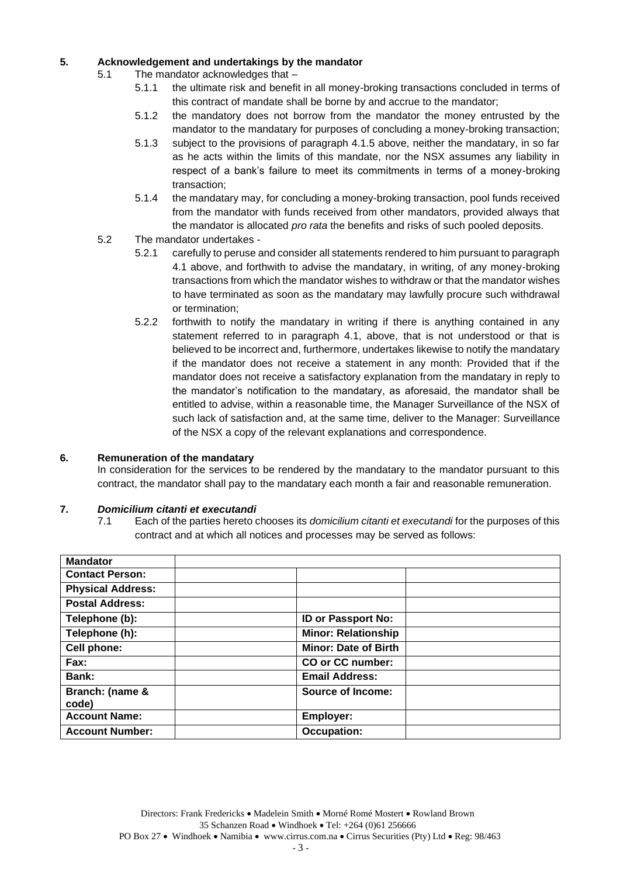# **5. Acknowledgement and undertakings by the mandator**

- 5.1 The mandator acknowledges that
	- 5.1.1 the ultimate risk and benefit in all money-broking transactions concluded in terms of this contract of mandate shall be borne by and accrue to the mandator;
	- 5.1.2 the mandatory does not borrow from the mandator the money entrusted by the mandator to the mandatary for purposes of concluding a money-broking transaction;
	- 5.1.3 subject to the provisions of paragraph 4.1.5 above, neither the mandatary, in so far as he acts within the limits of this mandate, nor the NSX assumes any liability in respect of a bank's failure to meet its commitments in terms of a money-broking transaction;
	- 5.1.4 the mandatary may, for concluding a money-broking transaction, pool funds received from the mandator with funds received from other mandators, provided always that the mandator is allocated *pro rata* the benefits and risks of such pooled deposits.
	- 5.2 The mandator undertakes
		- 5.2.1 carefully to peruse and consider all statements rendered to him pursuant to paragraph 4.1 above, and forthwith to advise the mandatary, in writing, of any money-broking transactions from which the mandator wishes to withdraw or that the mandator wishes to have terminated as soon as the mandatary may lawfully procure such withdrawal or termination;
		- 5.2.2 forthwith to notify the mandatary in writing if there is anything contained in any statement referred to in paragraph 4.1, above, that is not understood or that is believed to be incorrect and, furthermore, undertakes likewise to notify the mandatary if the mandator does not receive a statement in any month: Provided that if the mandator does not receive a satisfactory explanation from the mandatary in reply to the mandator's notification to the mandatary, as aforesaid, the mandator shall be entitled to advise, within a reasonable time, the Manager Surveillance of the NSX of such lack of satisfaction and, at the same time, deliver to the Manager: Surveillance of the NSX a copy of the relevant explanations and correspondence.

# **6. Remuneration of the mandatary**

In consideration for the services to be rendered by the mandatary to the mandator pursuant to this contract, the mandator shall pay to the mandatary each month a fair and reasonable remuneration.

# **7.** *Domicilium citanti et executandi*

7.1 Each of the parties hereto chooses its *domicilium citanti et executandi* for the purposes of this contract and at which all notices and processes may be served as follows:

| <b>Mandator</b>          |                             |  |
|--------------------------|-----------------------------|--|
| <b>Contact Person:</b>   |                             |  |
| <b>Physical Address:</b> |                             |  |
| <b>Postal Address:</b>   |                             |  |
| Telephone (b):           | <b>ID or Passport No:</b>   |  |
| Telephone (h):           | <b>Minor: Relationship</b>  |  |
| Cell phone:              | <b>Minor: Date of Birth</b> |  |
| Fax:                     | CO or CC number:            |  |
| Bank:                    | <b>Email Address:</b>       |  |
| Branch: (name &<br>code) | Source of Income:           |  |
| <b>Account Name:</b>     | Employer:                   |  |
| <b>Account Number:</b>   | <b>Occupation:</b>          |  |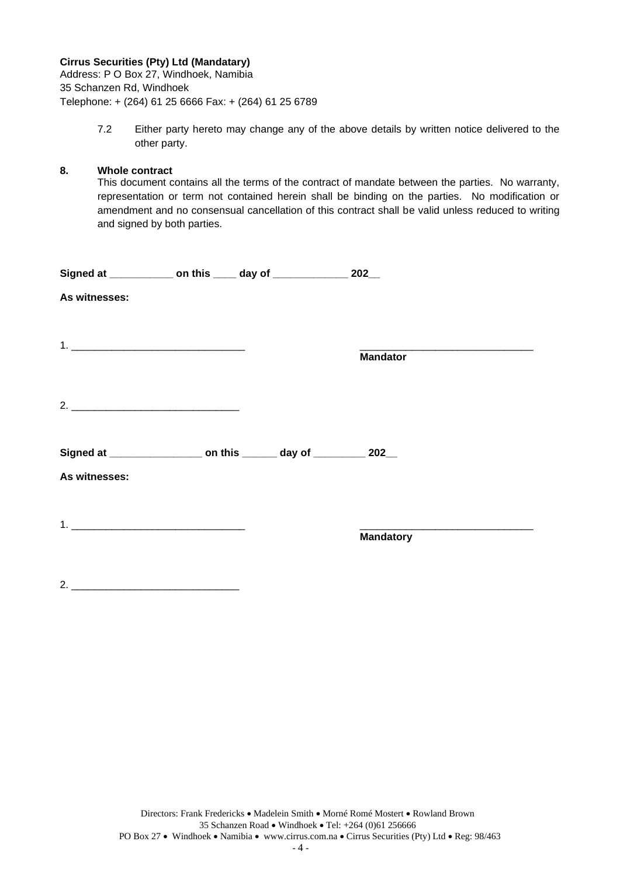# **Cirrus Securities (Pty) Ltd (Mandatary)**

Address: P O Box 27, Windhoek, Namibia 35 Schanzen Rd, Windhoek Telephone: + (264) 61 25 6666 Fax: + (264) 61 25 6789

> 7.2 Either party hereto may change any of the above details by written notice delivered to the other party.

## **8. Whole contract**

This document contains all the terms of the contract of mandate between the parties. No warranty, representation or term not contained herein shall be binding on the parties. No modification or amendment and no consensual cancellation of this contract shall be valid unless reduced to writing and signed by both parties.

| Signed at ______________ on this _____ day of _______________ 202__       |  |                  |
|---------------------------------------------------------------------------|--|------------------|
| As witnesses:                                                             |  |                  |
|                                                                           |  |                  |
|                                                                           |  |                  |
|                                                                           |  | <b>Mandator</b>  |
|                                                                           |  |                  |
|                                                                           |  |                  |
|                                                                           |  |                  |
| Signed at ______________________ on this ________ day of __________ 202__ |  |                  |
| As witnesses:                                                             |  |                  |
|                                                                           |  |                  |
|                                                                           |  | <b>Mandatory</b> |
|                                                                           |  |                  |
|                                                                           |  |                  |
| $2. -$                                                                    |  |                  |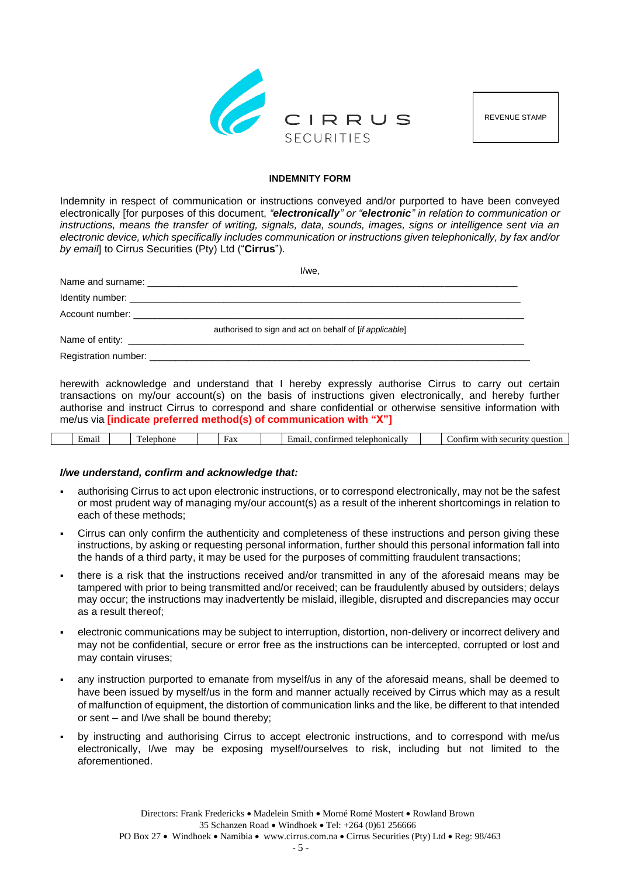

REVENUE STAMP

#### **INDEMNITY FORM**

Indemnity in respect of communication or instructions conveyed and/or purported to have been conveyed electronically [for purposes of this document, *"electronically" or "electronic" in relation to communication or instructions, means the transfer of writing, signals, data, sounds, images, signs or intelligence sent via an electronic device, which specifically includes communication or instructions given telephonically, by fax and/or by email*] to Cirrus Securities (Pty) Ltd ("**Cirrus**").

|                                 | l/we.                                                                                                                                                                                                                         |
|---------------------------------|-------------------------------------------------------------------------------------------------------------------------------------------------------------------------------------------------------------------------------|
|                                 |                                                                                                                                                                                                                               |
|                                 | Identity number: the contract of the contract of the contract of the contract of the contract of the contract of the contract of the contract of the contract of the contract of the contract of the contract of the contract |
| Account number: Account number: |                                                                                                                                                                                                                               |
|                                 | authorised to sign and act on behalf of [if applicable]                                                                                                                                                                       |
|                                 |                                                                                                                                                                                                                               |
|                                 |                                                                                                                                                                                                                               |
|                                 |                                                                                                                                                                                                                               |

herewith acknowledge and understand that I hereby expressly authorise Cirrus to carry out certain transactions on my/our account(s) on the basis of instructions given electronically, and hereby further authorise and instruct Cirrus to correspond and share confidential or otherwise sensitive information with me/us via **[indicate preferred method(s) of communication with "X"]**

|  |  | $\sim$ $\sim$<br>±maı |  | n<br>hone<br>elt<br>эr |  | u'or<br>`ax |  | 111100<br>"car.<br>con <sup>+</sup><br>imai<br>$\sim$ $\sim$<br>. .<br>., |  | Wit.<br>0.0.0111<br>nn<br><b>ALLEY</b><br>ane<br>stior<br>. . |
|--|--|-----------------------|--|------------------------|--|-------------|--|---------------------------------------------------------------------------|--|---------------------------------------------------------------|
|--|--|-----------------------|--|------------------------|--|-------------|--|---------------------------------------------------------------------------|--|---------------------------------------------------------------|

## *I/we understand, confirm and acknowledge that:*

- authorising Cirrus to act upon electronic instructions, or to correspond electronically, may not be the safest or most prudent way of managing my/our account(s) as a result of the inherent shortcomings in relation to each of these methods;
- Cirrus can only confirm the authenticity and completeness of these instructions and person giving these instructions, by asking or requesting personal information, further should this personal information fall into the hands of a third party, it may be used for the purposes of committing fraudulent transactions;
- there is a risk that the instructions received and/or transmitted in any of the aforesaid means may be tampered with prior to being transmitted and/or received; can be fraudulently abused by outsiders; delays may occur; the instructions may inadvertently be mislaid, illegible, disrupted and discrepancies may occur as a result thereof;
- electronic communications may be subject to interruption, distortion, non-delivery or incorrect delivery and may not be confidential, secure or error free as the instructions can be intercepted, corrupted or lost and may contain viruses;
- any instruction purported to emanate from myself/us in any of the aforesaid means, shall be deemed to have been issued by myself/us in the form and manner actually received by Cirrus which may as a result of malfunction of equipment, the distortion of communication links and the like, be different to that intended or sent – and I/we shall be bound thereby;
- by instructing and authorising Cirrus to accept electronic instructions, and to correspond with me/us electronically, I/we may be exposing myself/ourselves to risk, including but not limited to the aforementioned.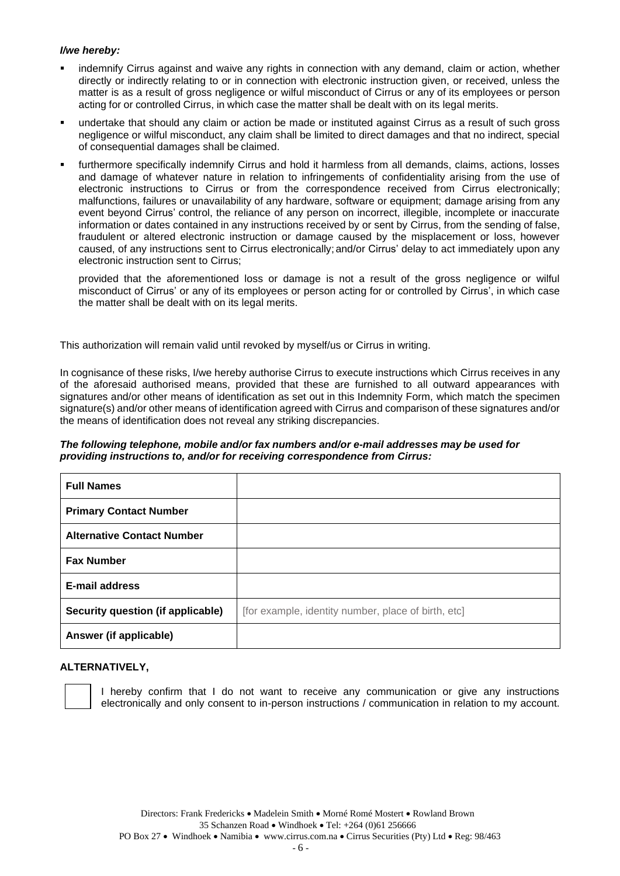# *I/we hereby:*

- indemnify Cirrus against and waive any rights in connection with any demand, claim or action, whether directly or indirectly relating to or in connection with electronic instruction given, or received, unless the matter is as a result of gross negligence or wilful misconduct of Cirrus or any of its employees or person acting for or controlled Cirrus, in which case the matter shall be dealt with on its legal merits.
- undertake that should any claim or action be made or instituted against Cirrus as a result of such gross negligence or wilful misconduct, any claim shall be limited to direct damages and that no indirect, special of consequential damages shall be claimed.
- furthermore specifically indemnify Cirrus and hold it harmless from all demands, claims, actions, losses and damage of whatever nature in relation to infringements of confidentiality arising from the use of electronic instructions to Cirrus or from the correspondence received from Cirrus electronically; malfunctions, failures or unavailability of any hardware, software or equipment; damage arising from any event beyond Cirrus' control, the reliance of any person on incorrect, illegible, incomplete or inaccurate information or dates contained in any instructions received by or sent by Cirrus, from the sending of false, fraudulent or altered electronic instruction or damage caused by the misplacement or loss, however caused, of any instructions sent to Cirrus electronically; and/or Cirrus' delay to act immediately upon any electronic instruction sent to Cirrus;

provided that the aforementioned loss or damage is not a result of the gross negligence or wilful misconduct of Cirrus' or any of its employees or person acting for or controlled by Cirrus', in which case the matter shall be dealt with on its legal merits.

This authorization will remain valid until revoked by myself/us or Cirrus in writing.

In cognisance of these risks, I/we hereby authorise Cirrus to execute instructions which Cirrus receives in any of the aforesaid authorised means, provided that these are furnished to all outward appearances with signatures and/or other means of identification as set out in this Indemnity Form, which match the specimen signature(s) and/or other means of identification agreed with Cirrus and comparison of these signatures and/or the means of identification does not reveal any striking discrepancies.

## *The following telephone, mobile and/or fax numbers and/or e-mail addresses may be used for providing instructions to, and/or for receiving correspondence from Cirrus:*

| <b>Full Names</b>                 |                                                     |
|-----------------------------------|-----------------------------------------------------|
| <b>Primary Contact Number</b>     |                                                     |
| <b>Alternative Contact Number</b> |                                                     |
| <b>Fax Number</b>                 |                                                     |
| <b>E-mail address</b>             |                                                     |
| Security question (if applicable) | [for example, identity number, place of birth, etc] |
| Answer (if applicable)            |                                                     |

## **ALTERNATIVELY,**

I hereby confirm that I do not want to receive any communication or give any instructions electronically and only consent to in-person instructions / communication in relation to my account.